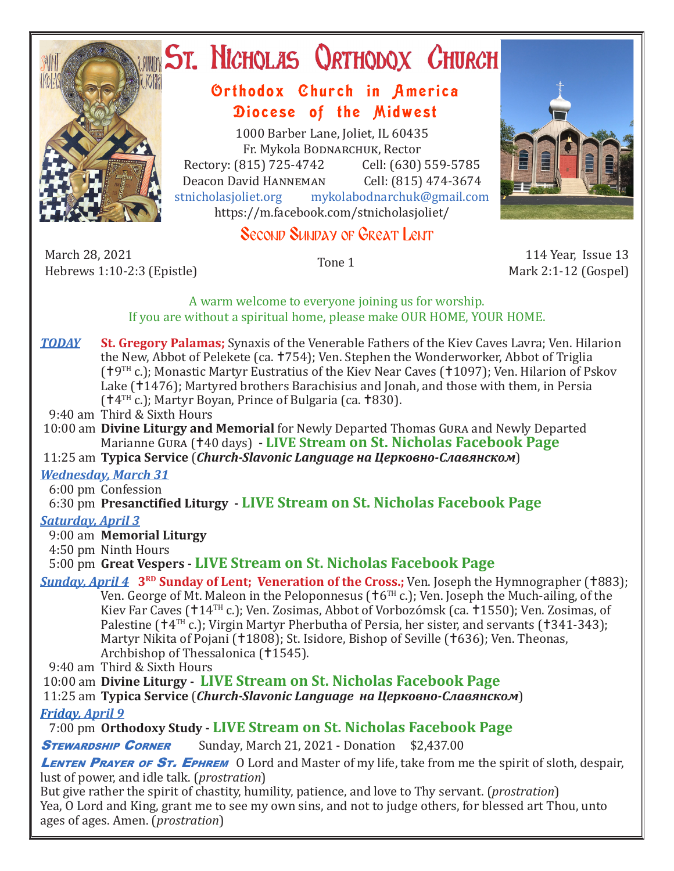

# ST. NICHOLAS QRTHODOX CHURCH

# Orthodox Church in America Diocese of the Midwest

1000 Barber Lane, Joliet, IL 60435 Fr. Mykola Bodnarchuk, Rector Rectory: (815) 725-4742 Cell: (630) 559-5785<br>Deacon David HANNEMAN Cell: (815) 474-3674 Deacon David HANNEMAN<br>stnicholasioliet.org mykola mykolabodnarchuk@gmail.com https://m.facebook.com/stnicholasjoliet/

# Second Sunday of Great Lent

March 28, 2021 March 28, 2021 114 Year, Issue 13<br>Hebrews 1:10-2:3 (Epistle) 116 Tone 1 114 Year, Issue 13



Mark 2:1-12 (Gospel)

#### A warm welcome to everyone joining us for worship. If you are without a spiritual home, please make OUR HOME, YOUR HOME.

- *TODAY* **St. Gregory Palamas;** Synaxis of the Venerable Fathers of the Kiev Caves Lavra; Ven. Hilarion the New, Abbot of Pelekete (ca. †754); Ven. Stephen the Wonderworker, Abbot of Triglia ( $19<sup>TH</sup>$  c.); Monastic Martyr Eustratius of the Kiev Near Caves ( $11097$ ); Ven. Hilarion of Pskov Lake (†1476); Martyred brothers Barachisius and Jonah, and those with them, in Persia  $(†4<sup>TH</sup>$  c.); Martyr Boyan, Prince of Bulgaria (ca. †830).
- 9:40 am Third & Sixth Hours
- 10:00 am **Divine Liturgy and Memorial** for Newly Departed Thomas Gura and Newly Departed Marianne Gura (40 days) **- LIVE Stream on St. Nicholas Facebook Page**
- 11:25 am **Typica Service** (*Church-Slavonic Language на Церковно-Славянском*)

## *Wednesday, March 31*

6:00 pm Confession

6:30 pm **Presanctified Liturgy - LIVE Stream on St. Nicholas Facebook Page**

## *Saturday, April 3*

9:00 am **Memorial Liturgy**

4:50 pm Ninth Hours

5:00 pm **Great Vespers - LIVE Stream on St. Nicholas Facebook Page**

**Sunday, April 4 3<sup>RD</sup> Sunday of Lent; Veneration of the Cross.;** Ven. Joseph the Hymnographer (†883); Ven. George of Mt. Maleon in the Peloponnesus ( $\text{†}6^{TH}$  c.); Ven. Joseph the Much-ailing, of the Kiev Far Caves (†14TH c.); Ven. Zosimas, Abbot of Vorbozómsk (ca. †1550); Ven. Zosimas, of Palestine ( $\uparrow$ 4<sup>TH</sup> c.); Virgin Martyr Pherbutha of Persia, her sister, and servants ( $\uparrow$ 341-343); Martyr Nikita of Pojani (†1808); St. Isidore, Bishop of Seville (†636); Ven. Theonas, Archbishop of Thessalonica (†1545).

9:40 am Third & Sixth Hours

10:00 am **Divine Liturgy - LIVE Stream on St. Nicholas Facebook Page**

11:25 am **Typica Service** (*Church-Slavonic Language на Церковно-Славянском*)

## *Friday, April 9*

7:00 pm **Orthodoxy Study - LIVE Stream on St. Nicholas Facebook Page**

**STEWARDSHIP CORNER** Sunday, March 21, 2021 - Donation \$2,437.00

LENTEN PRAYER OF ST. EPHREM O Lord and Master of my life, take from me the spirit of sloth, despair, lust of power, and idle talk. (*prostration*)

But give rather the spirit of chastity, humility, patience, and love to Thy servant. (*prostration*) Yea, O Lord and King, grant me to see my own sins, and not to judge others, for blessed art Thou, unto ages of ages. Amen. (*prostration*)